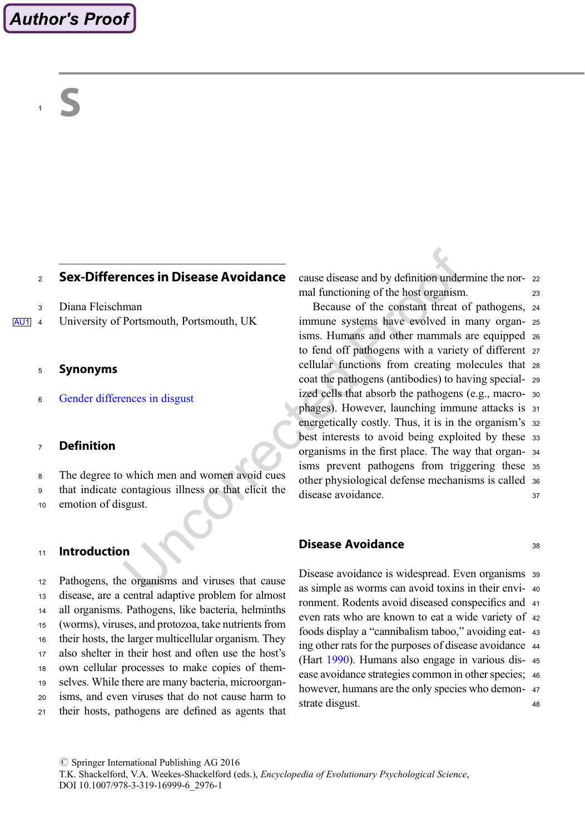# <sup>2</sup> Sex-Differences in Disease Avoidance

<sup>3</sup> Diana Fleischman

AU1 4 University of Portsmouth, Portsmouth, UK

#### <sup>5</sup> Synonyms

<sup>6</sup> Gender differences in disgust

## <sup>7</sup> Definition

<sup>8</sup> The degree to which men and women avoid cues

<sup>9</sup> that indicate contagious illness or that elicit the

<sup>10</sup> emotion of disgust.

# <sup>11</sup> Introduction

 Pathogens, the organisms and viruses that cause disease, are a central adaptive problem for almost all organisms. Pathogens, like bacteria, helminths (worms), viruses, and protozoa, take nutrients from their hosts, the larger multicellular organism. They also shelter in their host and often use the host's own cellular processes to make copies of them- selves. While there are many bacteria, microorgan- isms, and even viruses that do not cause harm to their hosts, pathogens are defined as agents that cause disease and by definition undermine the nor- <sup>22</sup> mal functioning of the host organism.

Because of the constant threat of pathogens, <sup>24</sup> immune systems have evolved in many organ- <sup>25</sup> isms. Humans and other mammals are equipped <sup>26</sup> to fend off pathogens with a variety of different <sup>27</sup> cellular functions from creating molecules that <sup>28</sup> coat the pathogens (antibodies) to having special- <sup>29</sup> ized cells that absorb the pathogens (e.g., macro- <sup>30</sup> phages). However, launching immune attacks is <sup>31</sup> energetically costly. Thus, it is in the organism's 32 best interests to avoid being exploited by these <sup>33</sup> organisms in the first place. The way that organ- <sup>34</sup> isms prevent pathogens from triggering these <sup>35</sup> other physiological defense mechanisms is called <sup>36</sup> disease avoidance. 37

### **Disease Avoidance** 38

Disease avoidance is widespread. Even organisms <sup>39</sup> as simple as worms can avoid toxins in their envi- <sup>40</sup> ronment. Rodents avoid diseased conspecifics and <sup>41</sup> even rats who are known to eat a wide variety of <sup>42</sup> foods display a "cannibalism taboo," avoiding eat- <sup>43</sup> ing other rats for the purposes of disease avoidance <sup>44</sup> (Hart 1990). Humans also engage in various dis- <sup>45</sup> ease avoidance strategies common in other species; <sup>46</sup> however, humans are the only species who demonstrate disgust. 48

 $\oslash$  Springer International Publishing AG 2016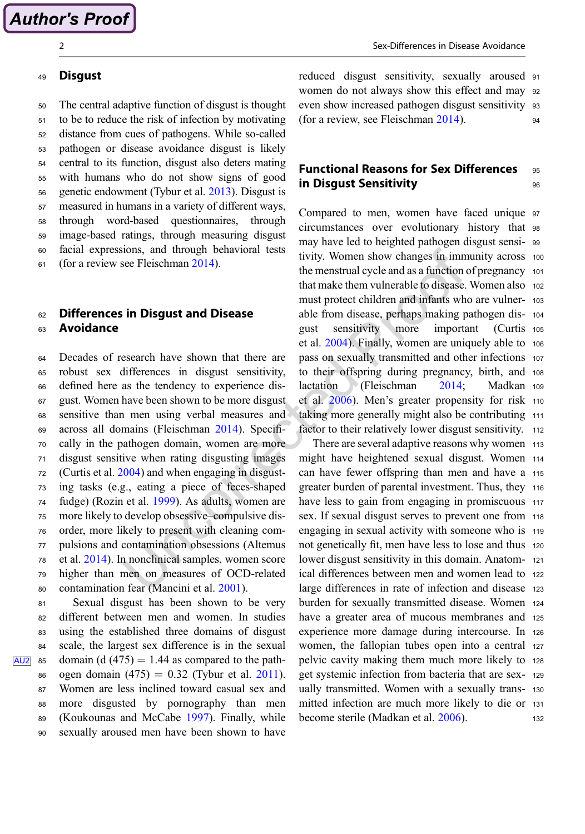### <sup>49</sup> Disgust

<sup>50</sup> The central adaptive function of disgust is thought

 to be to reduce the risk of infection by motivating distance from cues of pathogens. While so-called pathogen or disease avoidance disgust is likely central to its function, disgust also deters mating with humans who do not show signs of good genetic endowment (Tybur et al. 2013). Disgust is measured in humans in a variety of different ways, through word-based questionnaires, through image-based ratings, through measuring disgust facial expressions, and through behavioral tests (for a review see Fleischman 2014).

### 62 Differences in Disgust and Disease <sup>63</sup> Avoidance

 Decades of research have shown that there are robust sex differences in disgust sensitivity, defined here as the tendency to experience dis- gust. Women have been shown to be more disgust sensitive than men using verbal measures and across all domains (Fleischman 2014). Specifi- cally in the pathogen domain, women are more disgust sensitive when rating disgusting images (Curtis et al. 2004) and when engaging in disgust- ing tasks (e.g., eating a piece of feces-shaped fudge) (Rozin et al. 1999). As adults, women are more likely to develop obsessive–compulsive dis- order, more likely to present with cleaning com- pulsions and contamination obsessions (Altemus et al. 2014). In nonclinical samples, women score higher than men on measures of OCD-related contamination fear (Mancini et al. 2001).

 Sexual disgust has been shown to be very different between men and women. In studies using the established three domains of disgust scale, the largest sex difference is in the sexual  $\overline{A\cup 2}$  as domain (d (475) = 1.44 as compared to the path-86 ogen domain  $(475) = 0.32$  (Tybur et al. 2011). Women are less inclined toward casual sex and more disgusted by pornography than men (Koukounas and McCabe 1997). Finally, while sexually aroused men have been shown to have reduced disgust sensitivity, sexually aroused <sup>91</sup> women do not always show this effect and may <sup>92</sup> even show increased pathogen disgust sensitivity <sup>93</sup> (for a review, see Fleischman 2014). <sup>94</sup>

# **Functional Reasons for Sex Differences** 95 in Disgust Sensitivity and the sense of  $96$

Compared to men, women have faced unique <sup>97</sup> circumstances over evolutionary history that <sup>98</sup> may have led to heighted pathogen disgust sensi- <sup>99</sup> tivity. Women show changes in immunity across <sup>100</sup> the menstrual cycle and as a function of pregnancy <sup>101</sup> that make them vulnerable to disease. Women also 102 must protect children and infants who are vulner- <sup>103</sup> able from disease, perhaps making pathogen dis- <sup>104</sup> gust sensitivity more important (Curtis <sup>105</sup> et al. 2004). Finally, women are uniquely able to <sup>106</sup> pass on sexually transmitted and other infections <sup>107</sup> to their offspring during pregnancy, birth, and <sup>108</sup> lactation (Fleischman 2014; Madkan <sup>109</sup> et al. 2006). Men's greater propensity for risk <sup>110</sup> taking more generally might also be contributing <sup>111</sup> factor to their relatively lower disgust sensitivity. 112

There are several adaptive reasons why women 113 might have heightened sexual disgust. Women <sup>114</sup> can have fewer offspring than men and have a <sup>115</sup> greater burden of parental investment. Thus, they <sup>116</sup> have less to gain from engaging in promiscuous 117 sex. If sexual disgust serves to prevent one from <sup>118</sup> engaging in sexual activity with someone who is <sup>119</sup> not genetically fit, men have less to lose and thus <sup>120</sup> lower disgust sensitivity in this domain. Anatom- <sup>121</sup> ical differences between men and women lead to <sup>122</sup> large differences in rate of infection and disease <sup>123</sup> burden for sexually transmitted disease. Women <sup>124</sup> have a greater area of mucous membranes and <sup>125</sup> experience more damage during intercourse. In <sup>126</sup> women, the fallopian tubes open into a central <sup>127</sup> pelvic cavity making them much more likely to <sup>128</sup> get systemic infection from bacteria that are sex- <sup>129</sup> ually transmitted. Women with a sexually trans- <sup>130</sup> mitted infection are much more likely to die or <sup>131</sup> become sterile (Madkan et al. 2006). 132